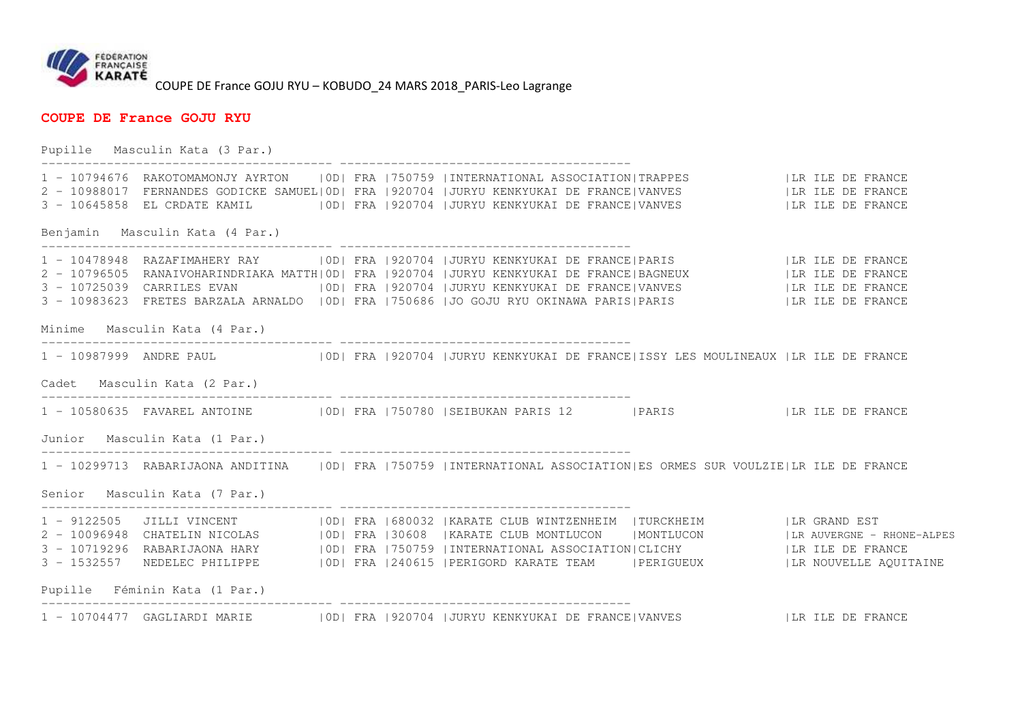

## **COUPE DE France GOJU RYU**

Pupille Masculin Kata (3 Par.) ---------------------------------------- ---------------------------------------- 1 - 10794676 RAKOTOMAMONJY AYRTON |0D| FRA |750759 |INTERNATIONAL ASSOCIATION|TRAPPES |LR ILE DE FRANCE ILR ILE DE FRANCE 2 - 10988017 FERNANDES GODICKE SAMUEL|0D| FRA 1920704 |JURYU KENKYUKAI DE FRANCE|VANVES 3 - 10645858 EL CRDATE KAMIL |OD| FRA |920704 |JURYU KENKYUKAI DE FRANCE|VANVES |LR ILE DE FRANCE Benjamin Masculin Kata (4 Par.) ---------------------------------------- ---------------------------------------- 1 - 10478948 RAZAFIMAHERY RAY |OD| FRA |920704 |JURYU KENKYUKAI DE FRANCE|PARIS |LR ILE DE FRANCE LLR ILE DE FRANCE 2 - 10796505 RANAIVOHARINDRIAKA MATTH|0D| FRA |920704 |JURYU KENKYUKAI DE FRANCE|BAGNEUX LLR ILE DE FRANCE 3 - 10725039 CARRILES EVAN | OD| FRA |920704 |JURYU KENKYUKAI DE FRANCE|VANVES 3 - 10983623 FRETES BARZALA ARNALDO |OD| FRA |750686 |JO GOJU RYU OKINAWA PARIS|PARIS |LR ILE DE FRANCE Minime Masculin Kata (4 Par.) ---------------------------------------- ---------------------------------------- 1 - 10987999 ANDRE PAUL |0D| FRA |920704 |JURYU KENKYUKAI DE FRANCE|ISSY LES MOULINEAUX |LR ILE DE FRANCE Cadet Masculin Kata (2 Par.) ---------------------------------------- ---------------------------------------- 1 - 10580635 FAVAREL ANTOINE |OD| FRA |750780 |SEIBUKAN PARIS 12 |PARIS |LR ILE DE FRANCE Junior Masculin Kata (1 Par.) ---------------------------------------- ---------------------------------------- 1 - 10299713 RABARIJAONA ANDITINA |0D| FRA |750759 |INTERNATIONAL ASSOCIATION|ES ORMES SUR VOULZIE|LR ILE DE FRANCE Senior Masculin Kata (7 Par.) ---------------------------------------- ---------------------------------------- 1 - 9122505 JILLI VINCENT |OD| FRA |680032 |KARATE CLUB WINTZENHEIM |TURCKHEIM |LR GRAND EST<br>2 - 10096948 CHATELIN NICOLAS |OD| FRA |30608 |KARATE CLUB MONTLUCON |MONTLUCON 3 - 10719296 RABARIJAONA HARY |0D| FRA |750759 |INTERNATIONAL ASSOCIATION|CLICHY |LR ILE DE FRANCE 3 - 1532557 NEDELEC PHILIPPE |OD| FRA |240615 |PERIGORD KARATE TEAM |PERIGUEUX |LR NOUVELLE AQUITAINE Pupille Féminin Kata (1 Par.) ---------------------------------------- ---------------------------------------- 1 - 10704477 GAGLIARDI MARIE |0D| FRA |920704 |JURYU KENKYUKAI DE FRANCE|VANVES |LR ILE DE FRANCE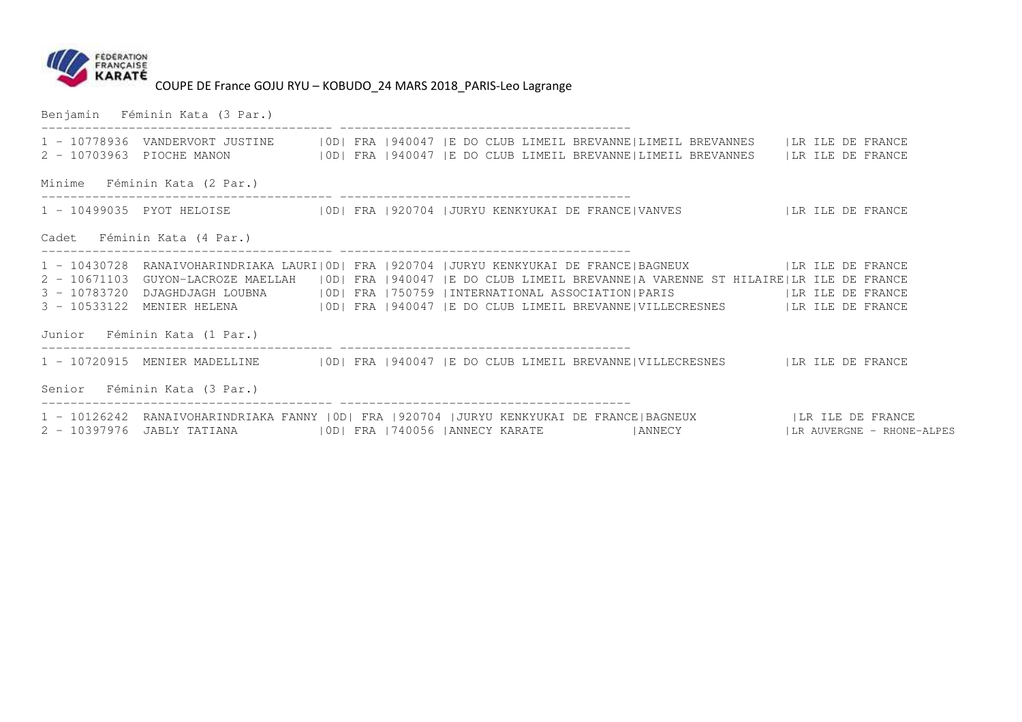

Benjamin Féminin Kata (3 Par.) ---------------------------------------- ---------------------------------------- 1 - 10778936 VANDERVORT JUSTINE |OD| FRA |940047 |E DO CLUB LIMEIL BREVANNE|LIMEIL BREVANNES |LR ILE DE FRANCE<br>2 - 10703963 PIOCHE MANON |OD| FRA |940047 |E DO CLUB LIMEIL BREVANNE|LIMEIL BREVANNES Minime Féminin Kata (2 Par.) ---------------------------------------- ---------------------------------------- 1 - 10499035 PYOT HELOISE |0D| FRA |920704 |JURYU KENKYUKAI DE FRANCE|VANVES |LR ILE DE FRANCE Cadet Féminin Kata (4 Par.) ---------------------------------------- ---------------------------------------- 1 - 10430728 RANAIVOHARINDRIAKA LAURI|OD| FRA |920704 |JURYU KENKYUKAI DE FRANCE|BAGNEUX | |LR ILE DE FRANCE 2 - 10671103 GUYON-LACROZE MAELLAH |0D| FRA |940047 |E DO CLUB LIMEIL BREVANNE|A VARENNE ST HILAIRE|LR ILE DE FRANCE 3 - 10783720 DJAGHDJAGH LOUBNA |OD| FRA |750759 |INTERNATIONAL ASSOCIATION|PARIS |LR ILE DE FRANCE 3 - 10533122 MENIER HELENA |0D| FRA |940047 |E DO CLUB LIMEIL BREVANNE|VILLECRESNES |LR ILE DE FRANCE Junior Féminin Kata (1 Par.) ---------------------------------------- ---------------------------------------- 1 - 10720915 MENIER MADELLINE |0D| FRA |940047 |E DO CLUB LIMEIL BREVANNE|VILLECRESNES |LR ILE DE FRANCE Senior Féminin Kata (3 Par.) ---------------------------------------- ---------------------------------------- 1 - 10126242 RANAIVOHARINDRIAKA FANNY |OD| FRA |920704 |JURYU KENKYUKAI DE FRANCE|BAGNEUX |LR ILE DE FRANCE<br>2 - 10397976 JABLY TATIANA |OD| FRA |740056 |ANNECY KARATE |ANNECY |ANNECY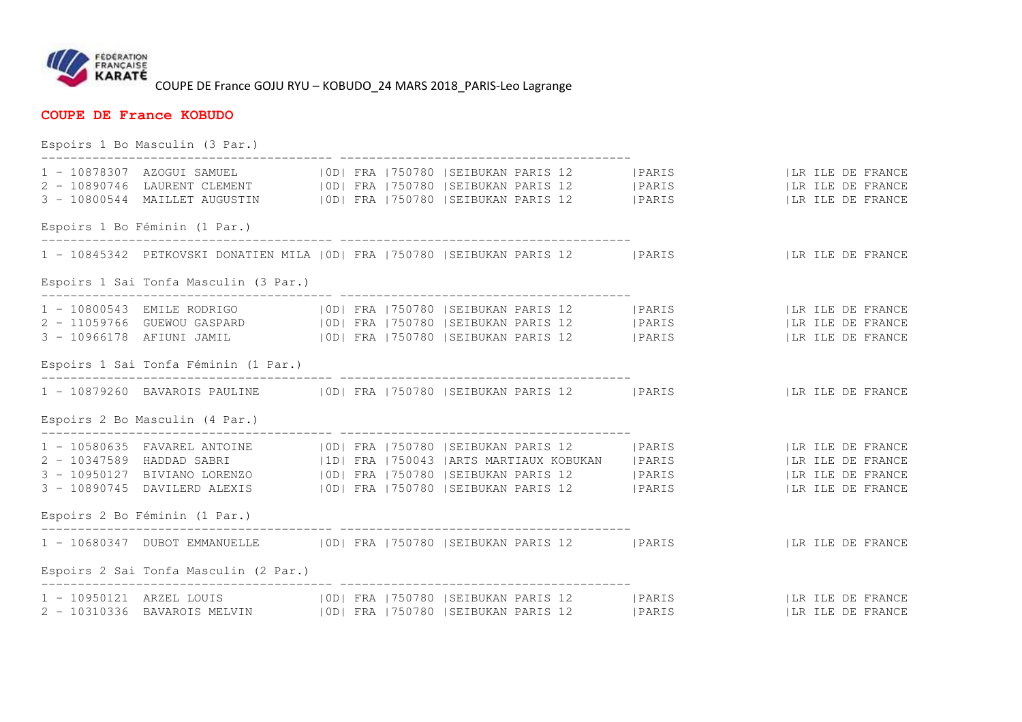

## **COUPE DE France KOBUDO**

| Espoirs 1 Bo Masculin (3 Par.)        |  |                                                                                                                                                                                                                                           |                                                                                     |
|---------------------------------------|--|-------------------------------------------------------------------------------------------------------------------------------------------------------------------------------------------------------------------------------------------|-------------------------------------------------------------------------------------|
|                                       |  | 1 - 10878307 AZOGUI SAMUEL   0D  FRA   750780   SEIBUKAN PARIS 12   PARIS   1   PARIS   LA ILE DE FRANCE                                                                                                                                  | ILR ILE DE FRANCE<br>  LR ILE DE FRANCE                                             |
| Espoirs 1 Bo Féminin (1 Par.)         |  |                                                                                                                                                                                                                                           |                                                                                     |
|                                       |  | 1 - 10845342 PETKOVSKI DONATIEN MILA   OD  FRA   750780   SEIBUKAN PARIS 12   PARIS   LA ILE DE FRANCE                                                                                                                                    |                                                                                     |
| Espoirs 1 Sai Tonfa Masculin (3 Par.) |  |                                                                                                                                                                                                                                           |                                                                                     |
|                                       |  | 2 - 11059766 GUEWOU GASPARD   0D  FRA   750780   SEIBUKAN PARIS 12   PARIS<br>3 - 10966178 AFIUNI JAMIL (OD) FRA 1750780 SEIBUKAN PARIS 12 (PARIS                                                                                         | LR ILE DE FRANCE<br>  LR ILE DE FRANCE<br>  LR ILE DE FRANCE                        |
| Espoirs 1 Sai Tonfa Féminin (1 Par.)  |  |                                                                                                                                                                                                                                           |                                                                                     |
| Espoirs 2 Bo Masculin (4 Par.)        |  | 1 - 10879260 BAVAROIS PAULINE   0D  FRA   750780   SEIBUKAN PARIS 12   PARIS   LA ILE DE FRANCE                                                                                                                                           |                                                                                     |
|                                       |  | 1 - 10580635 FAVAREL ANTOINE   0D  FRA   750780   SEIBUKAN PARIS 12   PARIS<br>3 - 10950127 BIVIANO LORENZO   OD  FRA   750780   SEIBUKAN PARIS 12   PARIS<br>3 - 10890745 DAVILERD ALEXIS   OD  FRA   750780   SEIBUKAN PARIS 12   PARIS | ILR ILE DE FRANCE<br>  LR ILE DE FRANCE<br>  LR ILE DE FRANCE<br>  LR ILE DE FRANCE |
| Espoirs 2 Bo Féminin (1 Par.)         |  |                                                                                                                                                                                                                                           |                                                                                     |
|                                       |  | 1 - 10680347 DUBOT EMMANUELLE   0D  FRA   750780   SEIBUKAN PARIS 12   PARIS     LARIS   LARILE DE FRANCE                                                                                                                                 |                                                                                     |
| Espoirs 2 Sai Tonfa Masculin (2 Par.) |  |                                                                                                                                                                                                                                           |                                                                                     |
|                                       |  | 1 - 10950121 ARZEL LOUIS   OD  FRA   750780   SEIBUKAN PARIS 12   PARIS<br>2 - 10310336 BAVAROIS MELVIN   0D  FRA   750780   SEIBUKAN PARIS 12   PARIS                                                                                    | ILR ILE DE FRANCE<br>ILR ILE DE FRANCE                                              |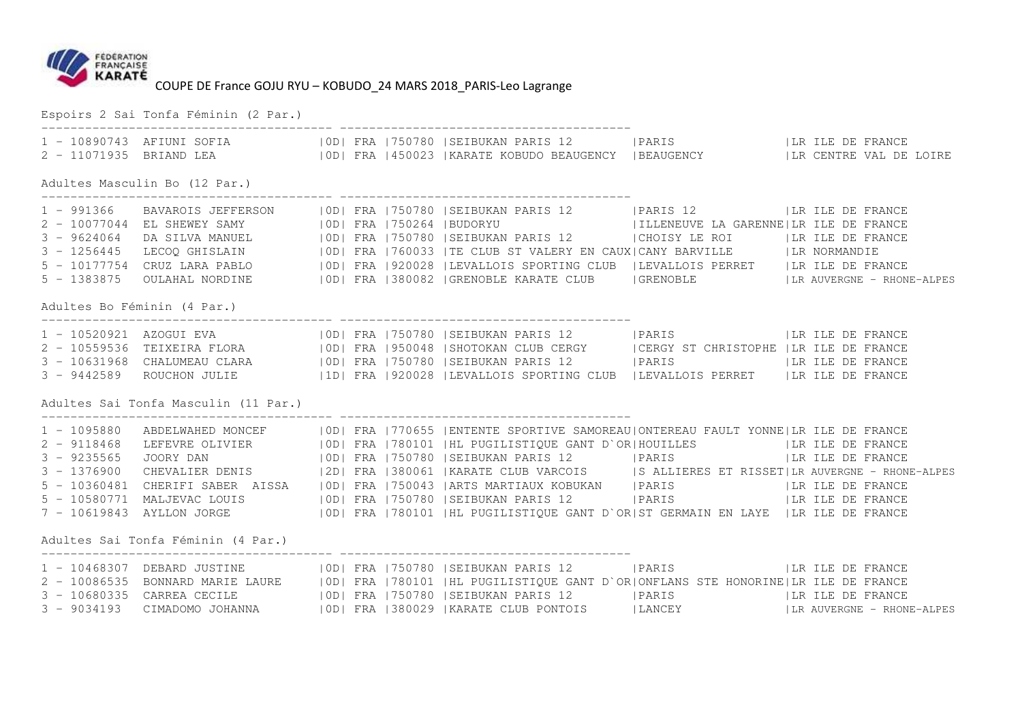

Espoirs 2 Sai Tonfa Féminin (2 Par.) ---------------------------------------- ---------------------------------------- 1 - 10890743 AFIUNI SOFIA |0D| FRA |750780 |SEIBUKAN PARIS 12 |PARIS |LR ILE DE FRANCE 2 - 11071935 BRIAND LEA |0D| FRA |450023 |KARATE KOBUDO BEAUGENCY |BEAUGENCY |LR CENTRE VAL DE LOIRE Adultes Masculin Bo (12 Par.) ---------------------------------------- ---------------------------------------- 1 - 991366 BAVAROIS JEFFERSON |0D| FRA |750780 |SEIBUKAN PARIS 12 |PARIS 12 |LR ILE DE FRANCE 2 - 10077044 EL SHEWEY SAMY |0D| FRA |750264 |BUDORYU |ILLENEUVE LA GARENNE|LR ILE DE FRANCE 3 - 9624064 DA SILVA MANUEL |0D| FRA |750780 |SEIBUKAN PARIS 12 |CHOISY LE ROI |LR ILE DE FRANCE 3 - 1256445 LECOQ GHISLAIN |0D| FRA |760033 |TE CLUB ST VALERY EN CAUX|CANY BARVILLE |LR NORMANDIE 5 - 10177754 CRUZ LARA PABLO |0D| FRA |920028 |LEVALLOIS SPORTING CLUB |LEVALLOIS PERRET |LR ILE DE FRANCE 5 - 1383875 OULAHAL NORDINE |0D| FRA |380082 |GRENOBLE KARATE CLUB |GRENOBLE |LR AUVERGNE - RHONE-ALPESAdultes Bo Féminin (4 Par.) ---------------------------------------- ---------------------------------------- 1 - 10520921 AZOGUI EVA |0D| FRA |750780 |SEIBUKAN PARIS 12 |PARIS |LR ILE DE FRANCE 2 - 10559536 TEIXEIRA FLORA |0D| FRA |950048 |SHOTOKAN CLUB CERGY |CERGY ST CHRISTOPHE |LR ILE DE FRANCE 3 - 10631968 CHALUMEAU CLARA |0D| FRA |750780 |SEIBUKAN PARIS 12 |PARIS |LR ILE DE FRANCE 3 - 9442589 ROUCHON JULIE |1D| FRA |920028 |LEVALLOIS SPORTING CLUB |LEVALLOIS PERRET |LR ILE DE FRANCE Adultes Sai Tonfa Masculin (11 Par.) ---------------------------------------- ---------------------------------------- 1 - 1095880 ABDELWAHED MONCEF (IODI FRA 1770655 |ENTENTE SPORTIVE SAMOREAU|ONTEREAU FAULT YONNE|LR ILE DE FRANCE<br>2 - 9118468 LEFEVRE OLIVIER (IODI FRA 1780101 |HL PUGILISTIQUE GANT D`OR|HOUILLES (IR ILE DE FRANCE)<br>3 - 9235 5 - 10360481 CHERIFI SABER AISSA |OD| FRA |750043 |ARTS MARTIAUX KOBUKAN |PARIS |LR ILE DE FRANCE<br>5 - 10580771 MALJEVAC LOUIS |OD| FRA |750780 |SEIBUKAN PARIS 12 |PARIS 7 - 10619843 AYLLON JORGE |0D| FRA |780101 |HL PUGILISTIQUE GANT D`OR|ST GERMAIN EN LAYE |LR ILE DE FRANCE Adultes Sai Tonfa Féminin (4 Par.) ---------------------------------------- ---------------------------------------- 1 - 10468307 DEBARD JUSTINE |0D| FRA |750780 |SEIBUKAN PARIS 12 |PARIS |LR ILE DE FRANCE 2 - 10086535 BONNARD MARIE LAURE |0D| FRA |780101 |HL PUGILISTIQUE GANT D`OR|ONFLANS STE HONORINE|LR ILE DE FRANCE 3 - 10680335 CARREA CECILE |OD| FRA |750780 |SEIBUKAN PARIS 12 |PARIS |LR ILE DE FRANCE 3 - 9034193 CIMADOMO JOHANNA |OD| FRA |380029 |KARATE CLUB PONTOIS |LANCEY |LR AUVERGNE - RHONE-ALPES